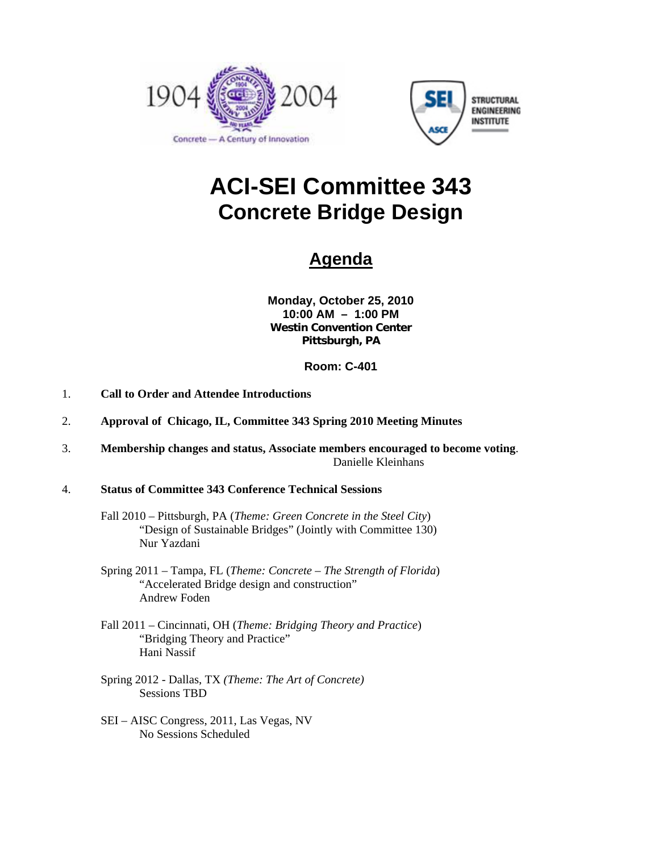



# **ACI-SEI Committee 343 Concrete Bridge Design**

# **Agenda**

**Monday, October 25, 2010 10:00 AM – 1:00 PM Westin Convention Center Pittsburgh, PA** 

## **Room: C-401**

- 1. **Call to Order and Attendee Introductions**
- 2. **Approval of Chicago, IL, Committee 343 Spring 2010 Meeting Minutes**
- 3. **Membership changes and status, Associate members encouraged to become voting**. Danielle Kleinhans
- 4. **Status of Committee 343 Conference Technical Sessions**
	- Fall 2010 Pittsburgh, PA (*Theme: Green Concrete in the Steel City*) "Design of Sustainable Bridges" (Jointly with Committee 130) Nur Yazdani
	- Spring 2011 Tampa, FL (*Theme: Concrete The Strength of Florida*) "Accelerated Bridge design and construction" Andrew Foden
	- Fall 2011 Cincinnati, OH (*Theme: Bridging Theory and Practice*) "Bridging Theory and Practice" Hani Nassif
	- Spring 2012 Dallas, TX *(Theme: The Art of Concrete)* Sessions TBD
	- SEI AISC Congress, 2011, Las Vegas, NV No Sessions Scheduled